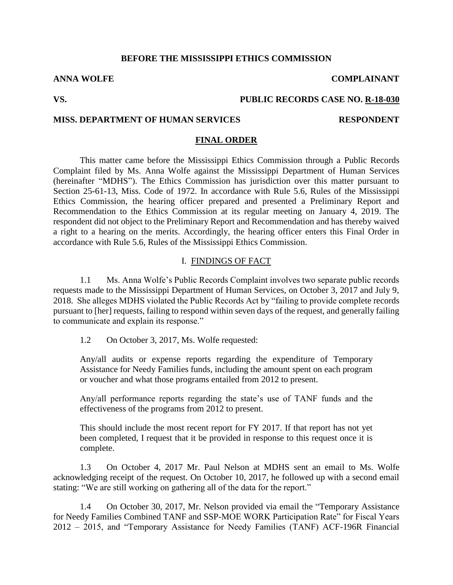#### **BEFORE THE MISSISSIPPI ETHICS COMMISSION**

### **VS. PUBLIC RECORDS CASE NO. R-18-030**

#### **MISS. DEPARTMENT OF HUMAN SERVICES RESPONDENT**

#### **FINAL ORDER**

This matter came before the Mississippi Ethics Commission through a Public Records Complaint filed by Ms. Anna Wolfe against the Mississippi Department of Human Services (hereinafter "MDHS"). The Ethics Commission has jurisdiction over this matter pursuant to Section 25-61-13, Miss. Code of 1972. In accordance with Rule 5.6, Rules of the Mississippi Ethics Commission, the hearing officer prepared and presented a Preliminary Report and Recommendation to the Ethics Commission at its regular meeting on January 4, 2019. The respondent did not object to the Preliminary Report and Recommendation and has thereby waived a right to a hearing on the merits. Accordingly, the hearing officer enters this Final Order in accordance with Rule 5.6, Rules of the Mississippi Ethics Commission.

### I. FINDINGS OF FACT

1.1 Ms. Anna Wolfe's Public Records Complaint involves two separate public records requests made to the Mississippi Department of Human Services, on October 3, 2017 and July 9, 2018. She alleges MDHS violated the Public Records Act by "failing to provide complete records pursuant to [her] requests, failing to respond within seven days of the request, and generally failing to communicate and explain its response."

1.2 On October 3, 2017, Ms. Wolfe requested:

Any/all audits or expense reports regarding the expenditure of Temporary Assistance for Needy Families funds, including the amount spent on each program or voucher and what those programs entailed from 2012 to present.

Any/all performance reports regarding the state's use of TANF funds and the effectiveness of the programs from 2012 to present.

This should include the most recent report for FY 2017. If that report has not yet been completed, I request that it be provided in response to this request once it is complete.

1.3 On October 4, 2017 Mr. Paul Nelson at MDHS sent an email to Ms. Wolfe acknowledging receipt of the request. On October 10, 2017, he followed up with a second email stating: "We are still working on gathering all of the data for the report."

1.4 On October 30, 2017, Mr. Nelson provided via email the "Temporary Assistance for Needy Families Combined TANF and SSP-MOE WORK Participation Rate" for Fiscal Years 2012 – 2015, and "Temporary Assistance for Needy Families (TANF) ACF-196R Financial

**ANNA WOLFE COMPLAINANT**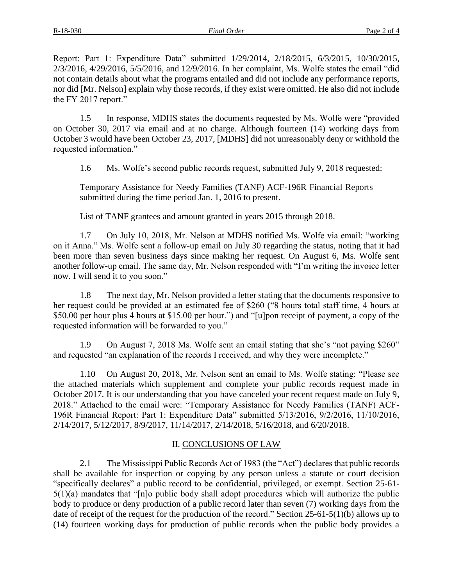Report: Part 1: Expenditure Data" submitted 1/29/2014, 2/18/2015, 6/3/2015, 10/30/2015, 2/3/2016, 4/29/2016, 5/5/2016, and 12/9/2016. In her complaint, Ms. Wolfe states the email "did not contain details about what the programs entailed and did not include any performance reports, nor did [Mr. Nelson] explain why those records, if they exist were omitted. He also did not include the FY 2017 report."

1.5 In response, MDHS states the documents requested by Ms. Wolfe were "provided on October 30, 2017 via email and at no charge. Although fourteen (14) working days from October 3 would have been October 23, 2017, [MDHS] did not unreasonably deny or withhold the requested information."

1.6 Ms. Wolfe's second public records request, submitted July 9, 2018 requested:

Temporary Assistance for Needy Families (TANF) ACF-196R Financial Reports submitted during the time period Jan. 1, 2016 to present.

List of TANF grantees and amount granted in years 2015 through 2018.

1.7 On July 10, 2018, Mr. Nelson at MDHS notified Ms. Wolfe via email: "working on it Anna." Ms. Wolfe sent a follow-up email on July 30 regarding the status, noting that it had been more than seven business days since making her request. On August 6, Ms. Wolfe sent another follow-up email. The same day, Mr. Nelson responded with "I'm writing the invoice letter now. I will send it to you soon."

1.8 The next day, Mr. Nelson provided a letter stating that the documents responsive to her request could be provided at an estimated fee of \$260 ("8 hours total staff time, 4 hours at \$50.00 per hour plus 4 hours at \$15.00 per hour.") and "[u]pon receipt of payment, a copy of the requested information will be forwarded to you."

1.9 On August 7, 2018 Ms. Wolfe sent an email stating that she's "not paying \$260" and requested "an explanation of the records I received, and why they were incomplete."

1.10 On August 20, 2018, Mr. Nelson sent an email to Ms. Wolfe stating: "Please see the attached materials which supplement and complete your public records request made in October 2017. It is our understanding that you have canceled your recent request made on July 9, 2018." Attached to the email were: "Temporary Assistance for Needy Families (TANF) ACF-196R Financial Report: Part 1: Expenditure Data" submitted 5/13/2016, 9/2/2016, 11/10/2016, 2/14/2017, 5/12/2017, 8/9/2017, 11/14/2017, 2/14/2018, 5/16/2018, and 6/20/2018.

# II. CONCLUSIONS OF LAW

2.1 The Mississippi Public Records Act of 1983 (the "Act") declares that public records shall be available for inspection or copying by any person unless a statute or court decision "specifically declares" a public record to be confidential, privileged, or exempt. Section 25-61- 5(1)(a) mandates that "[n]o public body shall adopt procedures which will authorize the public body to produce or deny production of a public record later than seven (7) working days from the date of receipt of the request for the production of the record." Section 25-61-5(1)(b) allows up to (14) fourteen working days for production of public records when the public body provides a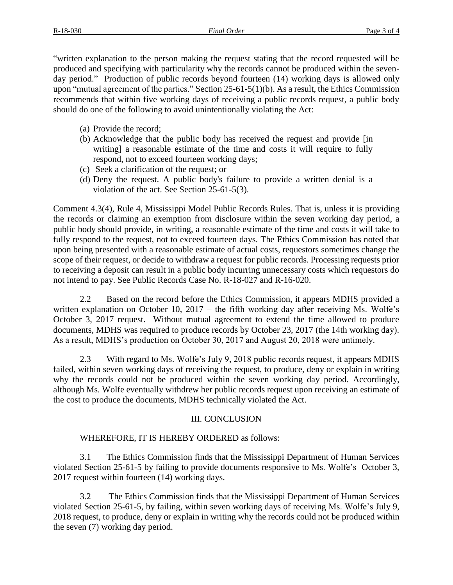"written explanation to the person making the request stating that the record requested will be produced and specifying with particularity why the records cannot be produced within the sevenday period." Production of public records beyond fourteen (14) working days is allowed only upon "mutual agreement of the parties." Section 25-61-5(1)(b). As a result, the Ethics Commission recommends that within five working days of receiving a public records request, a public body should do one of the following to avoid unintentionally violating the Act:

- (a) Provide the record;
- (b) Acknowledge that the public body has received the request and provide [in writing] a reasonable estimate of the time and costs it will require to fully respond, not to exceed fourteen working days;
- (c) Seek a clarification of the request; or
- (d) Deny the request. A public body's failure to provide a written denial is a violation of the act. See Section 25-61-5(3).

Comment 4.3(4), Rule 4, Mississippi Model Public Records Rules. That is, unless it is providing the records or claiming an exemption from disclosure within the seven working day period, a public body should provide, in writing, a reasonable estimate of the time and costs it will take to fully respond to the request, not to exceed fourteen days. The Ethics Commission has noted that upon being presented with a reasonable estimate of actual costs, requestors sometimes change the scope of their request, or decide to withdraw a request for public records. Processing requests prior to receiving a deposit can result in a public body incurring unnecessary costs which requestors do not intend to pay. See Public Records Case No. R-18-027 and R-16-020.

2.2 Based on the record before the Ethics Commission, it appears MDHS provided a written explanation on October 10, 2017 – the fifth working day after receiving Ms. Wolfe's October 3, 2017 request. Without mutual agreement to extend the time allowed to produce documents, MDHS was required to produce records by October 23, 2017 (the 14th working day). As a result, MDHS's production on October 30, 2017 and August 20, 2018 were untimely.

2.3 With regard to Ms. Wolfe's July 9, 2018 public records request, it appears MDHS failed, within seven working days of receiving the request, to produce, deny or explain in writing why the records could not be produced within the seven working day period. Accordingly, although Ms. Wolfe eventually withdrew her public records request upon receiving an estimate of the cost to produce the documents, MDHS technically violated the Act.

# III. CONCLUSION

# WHEREFORE, IT IS HEREBY ORDERED as follows:

3.1 The Ethics Commission finds that the Mississippi Department of Human Services violated Section 25-61-5 by failing to provide documents responsive to Ms. Wolfe's October 3, 2017 request within fourteen (14) working days.

3.2 The Ethics Commission finds that the Mississippi Department of Human Services violated Section 25-61-5, by failing, within seven working days of receiving Ms. Wolfe's July 9, 2018 request, to produce, deny or explain in writing why the records could not be produced within the seven (7) working day period.